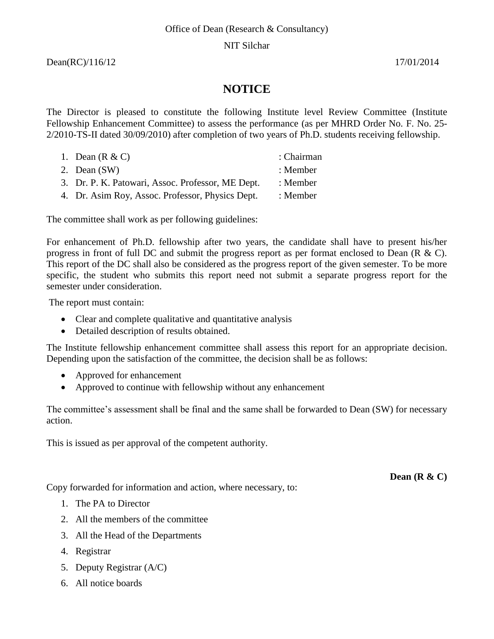# NIT Silchar

Dean(RC)/116/12 17/01/2014

# **NOTICE**

The Director is pleased to constitute the following Institute level Review Committee (Institute Fellowship Enhancement Committee) to assess the performance (as per MHRD Order No. F. No. 25- 2/2010-TS-II dated 30/09/2010) after completion of two years of Ph.D. students receiving fellowship.

| 1. Dean $(R & C)$                                 | : Chairman |
|---------------------------------------------------|------------|
| 2. Dean $(SW)$                                    | : Member   |
| 3. Dr. P. K. Patowari, Assoc. Professor, ME Dept. | : Member   |
| 4. Dr. Asim Roy, Assoc. Professor, Physics Dept.  | : Member   |

The committee shall work as per following guidelines:

For enhancement of Ph.D. fellowship after two years, the candidate shall have to present his/her progress in front of full DC and submit the progress report as per format enclosed to Dean (R & C). This report of the DC shall also be considered as the progress report of the given semester. To be more specific, the student who submits this report need not submit a separate progress report for the semester under consideration.

The report must contain:

- Clear and complete qualitative and quantitative analysis
- Detailed description of results obtained.

The Institute fellowship enhancement committee shall assess this report for an appropriate decision. Depending upon the satisfaction of the committee, the decision shall be as follows:

- Approved for enhancement
- Approved to continue with fellowship without any enhancement

The committee's assessment shall be final and the same shall be forwarded to Dean (SW) for necessary action.

This is issued as per approval of the competent authority.

**Dean (R & C)**

Copy forwarded for information and action, where necessary, to:

- 1. The PA to Director
- 2. All the members of the committee
- 3. All the Head of the Departments
- 4. Registrar
- 5. Deputy Registrar (A/C)
- 6. All notice boards